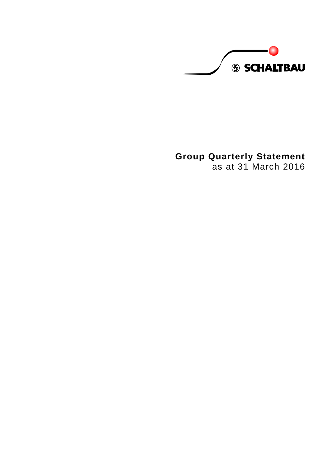

# **Group Quarterly Statement**

as at 31 March 2016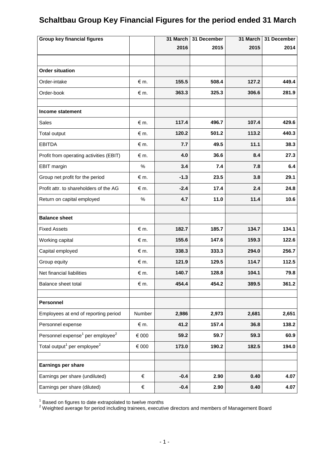# **Schaltbau Group Key Financial Figures for the period ended 31 March**

| <b>Group key financial figures</b>                       |             | 31 March | 31 December | 31 March | 31 December |
|----------------------------------------------------------|-------------|----------|-------------|----------|-------------|
|                                                          |             | 2016     | 2015        | 2015     | 2014        |
|                                                          |             |          |             |          |             |
| <b>Order situation</b>                                   |             |          |             |          |             |
| Order-intake                                             | $\notin$ m. | 155.5    | 508.4       | 127.2    | 449.4       |
| Order-book                                               | $\notin$ m. | 363.3    | 325.3       | 306.6    | 281.9       |
|                                                          |             |          |             |          |             |
| Income statement                                         |             |          |             |          |             |
| <b>Sales</b>                                             | $\notin$ m. | 117.4    | 496.7       | 107.4    | 429.6       |
| Total output                                             | $\notin$ m. | 120.2    | 501.2       | 113.2    | 440.3       |
| <b>EBITDA</b>                                            | $\notin$ m. | 7.7      | 49.5        | 11.1     | 38.3        |
| Profit from operating activities (EBIT)                  | $\notin$ m. | 4.0      | 36.6        | 8.4      | 27.3        |
| EBIT margin                                              | %           | 3.4      | 7.4         | 7.8      | 6.4         |
| Group net profit for the period                          | $\notin$ m. | $-1.3$   | 23.5        | 3.8      | 29.1        |
| Profit attr. to shareholders of the AG                   | $\notin$ m. | $-2.4$   | 17.4        | 2.4      | 24.8        |
| Return on capital employed                               | $\%$        | 4.7      | 11.0        | 11.4     | 10.6        |
|                                                          |             |          |             |          |             |
| <b>Balance sheet</b>                                     |             |          |             |          |             |
| <b>Fixed Assets</b>                                      | $\notin$ m. | 182.7    | 185.7       | 134.7    | 134.1       |
| Working capital                                          | $\notin$ m. | 155.6    | 147.6       | 159.3    | 122.6       |
| Capital employed                                         | $\notin$ m. | 338.3    | 333.3       | 294.0    | 256.7       |
| Group equity                                             | $\notin$ m. | 121.9    | 129.5       | 114.7    | 112.5       |
| Net financial liabilities                                | $\notin$ m. | 140.7    | 128.8       | 104.1    | 79.8        |
| Balance sheet total                                      | € m.        | 454.4    | 454.2       | 389.5    | 361.2       |
|                                                          |             |          |             |          |             |
| Personnel                                                |             |          |             |          |             |
| Employees at end of reporting period                     | Number      | 2,986    | 2,973       | 2,681    | 2,651       |
| Personnel expense                                        | $\notin$ m. | 41.2     | 157.4       | 36.8     | 138.2       |
| Personnel expense <sup>1</sup> per employee <sup>2</sup> | $\in$ 000   | 59.2     | 59.7        | 59.3     | 60.9        |
| Total output <sup>1</sup> per employee <sup>2</sup>      | $\in$ 000   | 173.0    | 190.2       | 182.5    | 194.0       |
| Earnings per share                                       |             |          |             |          |             |
| Earnings per share (undiluted)                           | €           | $-0.4$   | 2.90        | 0.40     | 4.07        |
| Earnings per share (diluted)                             | $\in$       | $-0.4$   | 2.90        | 0.40     | 4.07        |

 $1$  Based on figures to date extrapolated to twelve months

 $2$  Weighted average for period including trainees, executive directors and members of Management Board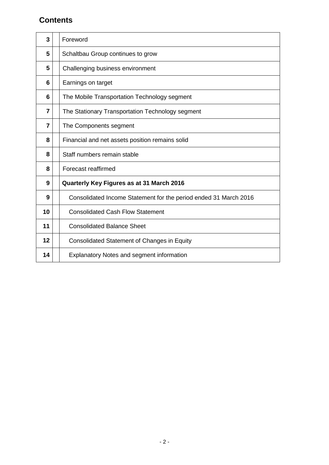### **Contents**

| 3              | Foreword                                                         |
|----------------|------------------------------------------------------------------|
| 5              | Schaltbau Group continues to grow                                |
| 5              | Challenging business environment                                 |
| 6              | Earnings on target                                               |
| 6              | The Mobile Transportation Technology segment                     |
| $\overline{7}$ | The Stationary Transportation Technology segment                 |
| 7              | The Components segment                                           |
| 8              | Financial and net assets position remains solid                  |
| 8              | Staff numbers remain stable                                      |
| 8              | Forecast reaffirmed                                              |
| 9              | Quarterly Key Figures as at 31 March 2016                        |
| 9              | Consolidated Income Statement for the period ended 31 March 2016 |
| 10             | <b>Consolidated Cash Flow Statement</b>                          |
| 11             | <b>Consolidated Balance Sheet</b>                                |
| 12             | <b>Consolidated Statement of Changes in Equity</b>               |
| 14             | <b>Explanatory Notes and segment information</b>                 |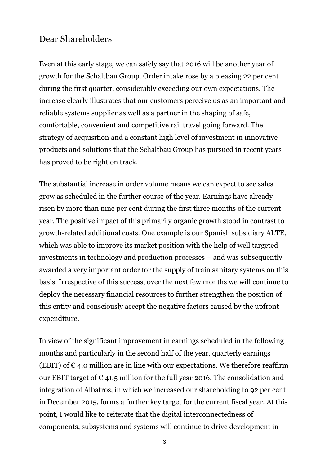# Dear Shareholders

Even at this early stage, we can safely say that 2016 will be another year of growth for the Schaltbau Group. Order intake rose by a pleasing 22 per cent during the first quarter, considerably exceeding our own expectations. The increase clearly illustrates that our customers perceive us as an important and reliable systems supplier as well as a partner in the shaping of safe, comfortable, convenient and competitive rail travel going forward. The strategy of acquisition and a constant high level of investment in innovative products and solutions that the Schaltbau Group has pursued in recent years has proved to be right on track.

The substantial increase in order volume means we can expect to see sales grow as scheduled in the further course of the year. Earnings have already risen by more than nine per cent during the first three months of the current year. The positive impact of this primarily organic growth stood in contrast to growth-related additional costs. One example is our Spanish subsidiary ALTE, which was able to improve its market position with the help of well targeted investments in technology and production processes – and was subsequently awarded a very important order for the supply of train sanitary systems on this basis. Irrespective of this success, over the next few months we will continue to deploy the necessary financial resources to further strengthen the position of this entity and consciously accept the negative factors caused by the upfront expenditure.

In view of the significant improvement in earnings scheduled in the following months and particularly in the second half of the year, quarterly earnings (EBIT) of  $\epsilon$  4.0 million are in line with our expectations. We therefore reaffirm our EBIT target of  $\epsilon$  41.5 million for the full year 2016. The consolidation and integration of Albatros, in which we increased our shareholding to 92 per cent in December 2015, forms a further key target for the current fiscal year. At this point, I would like to reiterate that the digital interconnectedness of components, subsystems and systems will continue to drive development in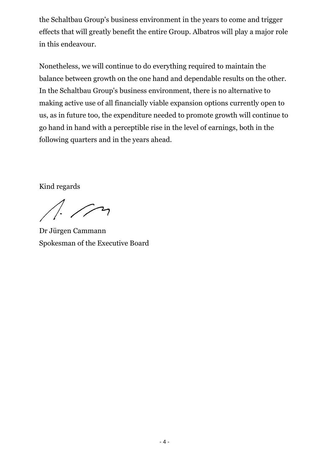the Schaltbau Group's business environment in the years to come and trigger effects that will greatly benefit the entire Group. Albatros will play a major role in this endeavour.

Nonetheless, we will continue to do everything required to maintain the balance between growth on the one hand and dependable results on the other. In the Schaltbau Group's business environment, there is no alternative to making active use of all financially viable expansion options currently open to us, as in future too, the expenditure needed to promote growth will continue to go hand in hand with a perceptible rise in the level of earnings, both in the following quarters and in the years ahead.

Kind regards

 $1/2$ 

Dr Jürgen Cammann Spokesman of the Executive Board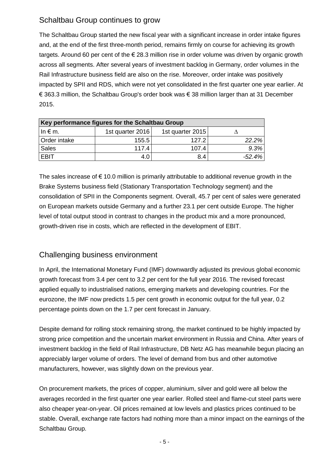# Schaltbau Group continues to grow

The Schaltbau Group started the new fiscal year with a significant increase in order intake figures and, at the end of the first three-month period, remains firmly on course for achieving its growth targets. Around 60 per cent of the € 28.3 million rise in order volume was driven by organic growth across all segments. After several years of investment backlog in Germany, order volumes in the Rail Infrastructure business field are also on the rise. Moreover, order intake was positively impacted by SPII and RDS, which were not yet consolidated in the first quarter one year earlier. At € 363.3 million, the Schaltbau Group's order book was € 38 million larger than at 31 December 2015.

| Key performance figures for the Schaltbau Group |                  |                  |           |  |  |  |
|-------------------------------------------------|------------------|------------------|-----------|--|--|--|
| $\ln \epsilon$ m.                               | 1st quarter 2016 | 1st quarter 2015 |           |  |  |  |
| Order intake                                    | 155.5            | 127.2            | 22.2%     |  |  |  |
| Sales                                           | 117.4            | 107.4            | 9.3%      |  |  |  |
| <b>EBIT</b>                                     |                  | 8.4              | $-52.4\%$ |  |  |  |

The sales increase of  $\epsilon$  10.0 million is primarily attributable to additional revenue growth in the Brake Systems business field (Stationary Transportation Technology segment) and the consolidation of SPII in the Components segment. Overall, 45.7 per cent of sales were generated on European markets outside Germany and a further 23.1 per cent outside Europe. The higher level of total output stood in contrast to changes in the product mix and a more pronounced, growth-driven rise in costs, which are reflected in the development of EBIT.

# Challenging business environment

In April, the International Monetary Fund (IMF) downwardly adjusted its previous global economic growth forecast from 3.4 per cent to 3.2 per cent for the full year 2016. The revised forecast applied equally to industrialised nations, emerging markets and developing countries. For the eurozone, the IMF now predicts 1.5 per cent growth in economic output for the full year, 0.2 percentage points down on the 1.7 per cent forecast in January.

Despite demand for rolling stock remaining strong, the market continued to be highly impacted by strong price competition and the uncertain market environment in Russia and China. After years of investment backlog in the field of Rail Infrastructure, DB Netz AG has meanwhile begun placing an appreciably larger volume of orders. The level of demand from bus and other automotive manufacturers, however, was slightly down on the previous year.

On procurement markets, the prices of copper, aluminium, silver and gold were all below the averages recorded in the first quarter one year earlier. Rolled steel and flame-cut steel parts were also cheaper year-on-year. Oil prices remained at low levels and plastics prices continued to be stable. Overall, exchange rate factors had nothing more than a minor impact on the earnings of the Schaltbau Group.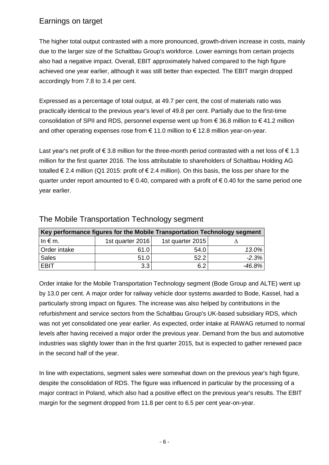# Earnings on target

The higher total output contrasted with a more pronounced, growth-driven increase in costs, mainly due to the larger size of the Schaltbau Group's workforce. Lower earnings from certain projects also had a negative impact. Overall, EBIT approximately halved compared to the high figure achieved one year earlier, although it was still better than expected. The EBIT margin dropped accordingly from 7.8 to 3.4 per cent.

Expressed as a percentage of total output, at 49.7 per cent, the cost of materials ratio was practically identical to the previous year's level of 49.8 per cent. Partially due to the first-time consolidation of SPII and RDS, personnel expense went up from  $\epsilon$  36.8 million to  $\epsilon$  41.2 million and other operating expenses rose from  $\epsilon$  11.0 million to  $\epsilon$  12.8 million year-on-year.

Last year's net profit of  $\epsilon$  3.8 million for the three-month period contrasted with a net loss of  $\epsilon$  1.3 million for the first quarter 2016. The loss attributable to shareholders of Schaltbau Holding AG totalled € 2.4 million (Q1 2015: profit of € 2.4 million). On this basis, the loss per share for the quarter under report amounted to  $\epsilon$  0.40, compared with a profit of  $\epsilon$  0.40 for the same period one year earlier.

| Key performance figures for the Mobile Transportation Technology segment |                  |                  |         |  |  |  |
|--------------------------------------------------------------------------|------------------|------------------|---------|--|--|--|
| $\ln \epsilon$ m.                                                        | 1st quarter 2016 | 1st quarter 2015 |         |  |  |  |
| Order intake                                                             | 61.0             | 54.0             | 13.0%   |  |  |  |
| <b>Sales</b>                                                             | 51.0             | 52.2             | $-2.3%$ |  |  |  |
| <b>EBIT</b>                                                              | 3.3              | 6.2              | -46.8%  |  |  |  |

### The Mobile Transportation Technology segment

Order intake for the Mobile Transportation Technology segment (Bode Group and ALTE) went up by 13.0 per cent. A major order for railway vehicle door systems awarded to Bode, Kassel, had a particularly strong impact on figures. The increase was also helped by contributions in the refurbishment and service sectors from the Schaltbau Group's UK-based subsidiary RDS, which was not yet consolidated one year earlier. As expected, order intake at RAWAG returned to normal levels after having received a major order the previous year. Demand from the bus and automotive industries was slightly lower than in the first quarter 2015, but is expected to gather renewed pace in the second half of the year.

In line with expectations, segment sales were somewhat down on the previous year's high figure, despite the consolidation of RDS. The figure was influenced in particular by the processing of a major contract in Poland, which also had a positive effect on the previous year's results. The EBIT margin for the segment dropped from 11.8 per cent to 6.5 per cent year-on-year.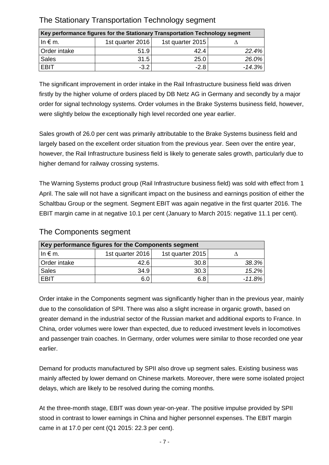| Key performance figures for the Stationary Transportation Technology segment |                  |                  |          |  |  |  |
|------------------------------------------------------------------------------|------------------|------------------|----------|--|--|--|
| $\ln \epsilon$ m.                                                            | 1st quarter 2016 | 1st quarter 2015 |          |  |  |  |
| Order intake                                                                 | 51.9             | 42.4             | 22.4%    |  |  |  |
| <b>Sales</b>                                                                 | 31.5             | 25.0             | 26.0%    |  |  |  |
| <b>EBIT</b>                                                                  | $-3.2$           | $-2.8$           | $-14.3%$ |  |  |  |

# The Stationary Transportation Technology segment

The significant improvement in order intake in the Rail Infrastructure business field was driven firstly by the higher volume of orders placed by DB Netz AG in Germany and secondly by a major order for signal technology systems. Order volumes in the Brake Systems business field, however, were slightly below the exceptionally high level recorded one year earlier.

Sales growth of 26.0 per cent was primarily attributable to the Brake Systems business field and largely based on the excellent order situation from the previous year. Seen over the entire year, however, the Rail Infrastructure business field is likely to generate sales growth, particularly due to higher demand for railway crossing systems.

The Warning Systems product group (Rail Infrastructure business field) was sold with effect from 1 April. The sale will not have a significant impact on the business and earnings position of either the Schaltbau Group or the segment. Segment EBIT was again negative in the first quarter 2016. The EBIT margin came in at negative 10.1 per cent (January to March 2015: negative 11.1 per cent).

| Key performance figures for the Components segment |                  |                  |           |  |  |  |
|----------------------------------------------------|------------------|------------------|-----------|--|--|--|
| $\ln \epsilon$ m.                                  | 1st quarter 2016 | 1st quarter 2015 |           |  |  |  |
| Order intake                                       | 42.6             | 30.8             | 38.3%     |  |  |  |
| Sales                                              | 34.9             | 30.3             | 15.2%     |  |  |  |
| I EBIT                                             |                  | 6.8              | $-11.8\%$ |  |  |  |

### The Components segment

Order intake in the Components segment was significantly higher than in the previous year, mainly due to the consolidation of SPII. There was also a slight increase in organic growth, based on greater demand in the industrial sector of the Russian market and additional exports to France. In China, order volumes were lower than expected, due to reduced investment levels in locomotives and passenger train coaches. In Germany, order volumes were similar to those recorded one year earlier.

Demand for products manufactured by SPII also drove up segment sales. Existing business was mainly affected by lower demand on Chinese markets. Moreover, there were some isolated project delays, which are likely to be resolved during the coming months.

At the three-month stage, EBIT was down year-on-year. The positive impulse provided by SPII stood in contrast to lower earnings in China and higher personnel expenses. The EBIT margin came in at 17.0 per cent (Q1 2015: 22.3 per cent).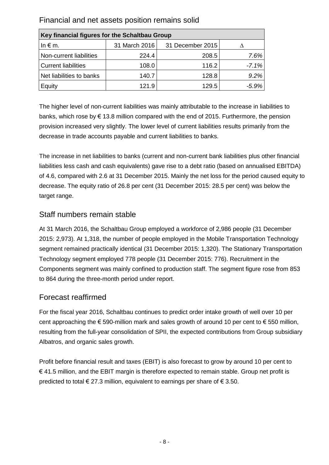| Key financial figures for the Schaltbau Group |               |                  |          |  |  |  |
|-----------------------------------------------|---------------|------------------|----------|--|--|--|
| In $\notin$ m.                                | 31 March 2016 | 31 December 2015 |          |  |  |  |
| Non-current liabilities                       | 224.4         | 208.5            | 7.6%     |  |  |  |
| <b>Current liabilities</b>                    | 108.0         | 116.2            | $-7.1%$  |  |  |  |
| Net liabilities to banks                      | 140.7         | 128.8            | 9.2%     |  |  |  |
| Equity                                        | 121.9         | 129.5            | $-5.9\%$ |  |  |  |

Financial and net assets position remains solid

The higher level of non-current liabilities was mainly attributable to the increase in liabilities to banks, which rose by € 13.8 million compared with the end of 2015. Furthermore, the pension provision increased very slightly. The lower level of current liabilities results primarily from the decrease in trade accounts payable and current liabilities to banks.

The increase in net liabilities to banks (current and non-current bank liabilities plus other financial liabilities less cash and cash equivalents) gave rise to a debt ratio (based on annualised EBITDA) of 4.6, compared with 2.6 at 31 December 2015. Mainly the net loss for the period caused equity to decrease. The equity ratio of 26.8 per cent (31 December 2015: 28.5 per cent) was below the target range.

### Staff numbers remain stable

At 31 March 2016, the Schaltbau Group employed a workforce of 2,986 people (31 December 2015: 2,973). At 1,318, the number of people employed in the Mobile Transportation Technology segment remained practically identical (31 December 2015: 1,320). The Stationary Transportation Technology segment employed 778 people (31 December 2015: 776). Recruitment in the Components segment was mainly confined to production staff. The segment figure rose from 853 to 864 during the three-month period under report.

### Forecast reaffirmed

For the fiscal year 2016, Schaltbau continues to predict order intake growth of well over 10 per cent approaching the  $\epsilon$  590-million mark and sales growth of around 10 per cent to  $\epsilon$  550 million, resulting from the full-year consolidation of SPII, the expected contributions from Group subsidiary Albatros, and organic sales growth.

Profit before financial result and taxes (EBIT) is also forecast to grow by around 10 per cent to € 41.5 million, and the EBIT margin is therefore expected to remain stable. Group net profit is predicted to total  $\epsilon$  27.3 million, equivalent to earnings per share of  $\epsilon$  3.50.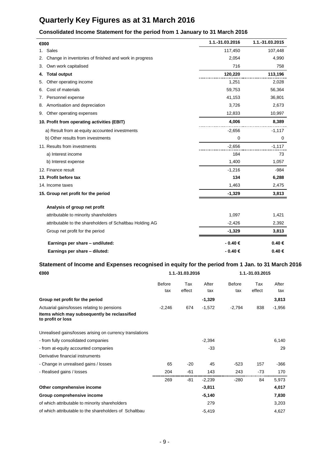# **Quarterly Key Figures as at 31 March 2016**

#### **Consolidated Income Statement for the period from 1 January to 31 March 2016**

| €000 |                                                          | 1.1.-31.03.2016 | 1.1.-31.03.2015 |
|------|----------------------------------------------------------|-----------------|-----------------|
|      | 1. Sales                                                 | 117,450         | 107,448         |
| 2.   | Change in inventories of finished and work in progress   | 2,054           | 4,990           |
| 3.   | Own work capitalised                                     | 716             | 758             |
| 4.   | <b>Total output</b>                                      | 120,220         | 113,196         |
| 5.   | Other operating income                                   | 1,251           | 2,028           |
| 6.   | Cost of materials                                        | 59,753          | 56,364          |
| 7.   | Personnel expense                                        | 41,153          | 36,801          |
| 8.   | Amortisation and depreciation                            | 3,726           | 2,673           |
| 9.   | Other operating expenses                                 | 12,833          | 10,997          |
|      | 10. Profit from operating activities (EBIT)              | 4,006           | 8,389           |
|      | a) Result from at-equity accounted investments           | $-2,656$        | $-1,117$        |
|      | b) Other results from investments                        | 0               | 0               |
|      | 11. Results from investments                             | $-2,656$        | $-1,117$        |
|      | a) Interest income                                       | 184             | 73              |
|      | b) Interest expense                                      | 1,400           | 1,057           |
|      | 12. Finance result                                       | $-1,216$        | $-984$          |
|      | 13. Profit before tax                                    | 134             | 6,288           |
|      | 14. Income taxes                                         | 1,463           | 2,475           |
|      | 15. Group net profit for the period                      | $-1,329$        | 3,813           |
|      | Analysis of group net profit                             |                 |                 |
|      | attributable to minority shareholders                    | 1,097           | 1,421           |
|      | attributable to the shareholders of Schaltbau Holding AG | $-2,426$        | 2,392           |
|      | Group net profit for the period                          | $-1,329$        | 3,813           |
|      | Earnings per share - undiluted:                          | - 0.40 €        | 0.40€           |
|      | Earnings per share - diluted:                            | $-0.40€$        | 0.40€           |

#### **Statement of Income and Expenses recognised in equity for the period from 1 Jan. to 31 March 2016**

| €000                                                              | 1.1.-31.03.2016 |        |          | 1.1.-31.03.2015 |        |          |
|-------------------------------------------------------------------|-----------------|--------|----------|-----------------|--------|----------|
|                                                                   | <b>Before</b>   | Tax    | After    | Before          | Tax    | After    |
|                                                                   | tax             | effect | tax      | tax             | effect | tax      |
| Group net profit for the period                                   |                 |        | $-1,329$ |                 |        | 3,813    |
| Actuarial gains/losses relating to pensions                       | $-2,246$        | 674    | $-1,572$ | $-2,794$        | 838    | $-1,956$ |
| Items which may subsequently be reclassified<br>to profit or loss |                 |        |          |                 |        |          |
| Unrealised gains/losses arising on currency translations          |                 |        |          |                 |        |          |
| - from fully consolidated companies                               |                 |        | $-2,394$ |                 |        | 6,140    |
| - from at-equity accounted companies                              |                 |        | $-33$    |                 |        | 29       |
| Derivative financial instruments                                  |                 |        |          |                 |        |          |
| - Change in unrealised gains / losses                             | 65              | $-20$  | 45       | $-523$          | 157    | $-366$   |
| - Realised gains / losses                                         | 204             | $-61$  | 143      | 243             | $-73$  | 170      |
|                                                                   | 269             | $-81$  | $-2,239$ | $-280$          | 84     | 5,973    |
| Other comprehensive income                                        |                 |        | $-3,811$ |                 |        | 4,017    |
| Group comprehensive income                                        |                 |        | $-5,140$ |                 |        | 7,830    |
| of which attributable to minority shareholders                    |                 |        | 279      |                 |        | 3,203    |
| of which attributable to the shareholders of Schaltbau            |                 |        | $-5,419$ |                 |        | 4,627    |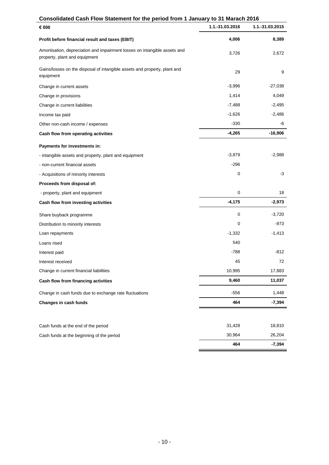# **Consolidated Cash Flow Statement for the period from 1 January to 31 Marach 2016**

| <br>€ 000                                                                                                  | 1.1.-31.03.2016 | 1.1.-31.03.2015 |
|------------------------------------------------------------------------------------------------------------|-----------------|-----------------|
| Profit before financial result and taxes (EBIT)                                                            | 4,006           | 8,389           |
| Amortisation, depreciation and impairment losses on intangible assets and<br>property, plant and equipment | 3,726           | 2,672           |
| Gains/losses on the disposal of intangible assets and property, plant and<br>equipment                     | 29              | 9               |
| Change in current assets                                                                                   | $-3,996$        | $-27,038$       |
| Change in provisions                                                                                       | 1,414           | 4,049           |
| Change in current liabilities                                                                              | $-7,488$        | $-2,495$        |
| Income tax paid                                                                                            | $-1,626$        | $-2,486$        |
| Other non-cash income / expenses                                                                           | $-330$          | -6              |
| Cash flow from operating activities                                                                        | $-4,265$        | $-16,906$       |
| Payments for investments in:                                                                               |                 |                 |
| - intangible assets and property, plant and equipment                                                      | $-3,879$        | $-2,988$        |
| - non-current financial assets                                                                             | $-296$          |                 |
| - Acquisitions of minority interests                                                                       | 0               | -3              |
| Proceeds from disposal of:                                                                                 |                 |                 |
| - property, plant and equipment                                                                            | 0               | 18              |
| Cash flow from investing activities                                                                        | $-4,175$        | $-2,973$        |
| Share buyback programme                                                                                    | 0               | $-3,720$        |
| Distribution to minority interests                                                                         | 0               | $-973$          |
| Loan repayments                                                                                            | $-1,332$        | $-1,413$        |
| Loans rised                                                                                                | 540             |                 |
| Interest paid                                                                                              | $-788$          | $-812$          |
| Interest received                                                                                          | 45              | 72              |
| Change in current financial liabilities                                                                    | 10,995          | 17,883          |
| Cash flow from financing activities                                                                        | 9,460           | 11,037          |
| Change in cash funds due to exchange rate fluctuations                                                     | $-556$          | 1,448           |
| Changes in cash funds                                                                                      | 464             | $-7,394$        |
|                                                                                                            |                 |                 |
| Cash funds at the end of the period                                                                        | 31,428          | 18,810          |
| Cash funds at the beginning of the period                                                                  | 30,964          | 26,204          |
|                                                                                                            | 464             | $-7,394$        |

-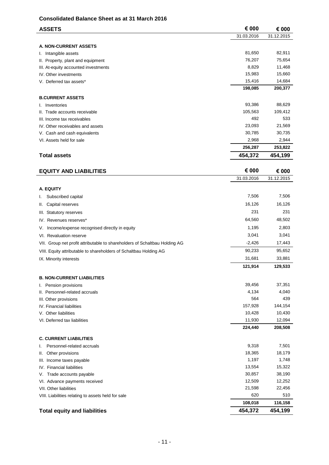#### **Consolidated Balance Sheet as at 31 March 2016**

| <b>ASSETS</b>                                                              | € 000      | € 000      |
|----------------------------------------------------------------------------|------------|------------|
|                                                                            | 31.03.2016 | 31.12.2015 |
|                                                                            |            |            |
| <b>A. NON-CURRENT ASSETS</b>                                               | 81,650     | 82,911     |
| I. Intangible assets                                                       | 76,207     | 75,654     |
| II. Property, plant and equipment<br>III. At-equity accounted investments  | 8,829      | 11,468     |
| IV. Other investments                                                      | 15,983     | 15,660     |
| V. Deferred tax assets*                                                    | 15,416     | 14,684     |
|                                                                            | 198,085    | 200,377    |
|                                                                            |            |            |
| <b>B.CURRENT ASSETS</b>                                                    | 93,386     | 88,629     |
| I. Inventories                                                             | 105,563    | 109,412    |
| II. Trade accounts receivable                                              | 492        | 533        |
| III. Income tax receivables<br>IV. Other receivables and assets            | 23,093     | 21,569     |
| V. Cash and cash equivalents                                               | 30,785     | 30,735     |
| VI. Assets held for sale                                                   | 2,968      | 2,944      |
|                                                                            | 256,287    | 253,822    |
|                                                                            |            |            |
| <b>Total assets</b>                                                        | 454,372    | 454,199    |
| <b>EQUITY AND LIABILITIES</b>                                              | € 000      | € 000      |
|                                                                            | 31.03.2016 | 31.12.2015 |
|                                                                            |            |            |
| A. EQUITY                                                                  |            |            |
| Subscribed capital<br>I.                                                   | 7,506      | 7,506      |
| Capital reserves<br>Ш.                                                     | 16,126     | 16,126     |
| III. Statutory reserves                                                    | 231        | 231        |
| IV. Revenues reserves*                                                     | 64,560     | 48,502     |
| Income/expense recognised directly in equity<br>V.                         | 1,195      | 2,803      |
| VI. Revaluation reserve                                                    | 3,041      | 3,041      |
| VII. Group net profit attributable to shareholders of Schaltbau Holding AG | $-2,426$   | 17,443     |
| VIII. Equity attributable to shareholders of Schaltbau Holding AG          | 90,233     | 95,652     |
| IX. Minority interests                                                     | 31,681     | 33,881     |
|                                                                            | 121,914    | 129,533    |
| <b>B. NON-CURRENT LIABILITIES</b>                                          |            |            |
| I. Pension provisions                                                      | 39,456     | 37,351     |
| II. Personnel-related accruals                                             | 4,134      | 4,040      |
| III. Other provisions                                                      | 564        | 439        |
| IV. Financial liabilities                                                  | 157,928    | 144,154    |
| V. Other liabilities                                                       | 10,428     | 10,430     |
| VI. Deferred tax liabilities                                               | 11,930     | 12,094     |
|                                                                            | 224,440    | 208,508    |
|                                                                            |            |            |
| <b>C. CURRENT LIABILITIES</b>                                              |            |            |
| Personnel-related accruals<br>I.                                           | 9,318      | 7,501      |
| Other provisions<br>Ш.                                                     | 18,365     | 18,179     |
| III. Income taxes payable                                                  | 1,197      | 1,748      |
| IV. Financial liabilities                                                  | 13,554     | 15,322     |
| Trade accounts payable<br>V.                                               | 30,857     | 38,190     |
| VI. Advance payments received                                              | 12,509     | 12,252     |
| VII. Other liabilities                                                     | 21,598     | 22,456     |
| VIII. Liabilities relating to assets held for sale                         | 620        | 510        |
|                                                                            | 108,018    | 116,158    |
| <b>Total equity and liabilities</b>                                        | 454,372    | 454,199    |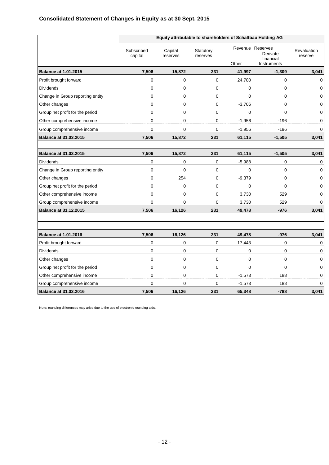|                                  | Equity attributable to shareholders of Schaltbau Holding AG |                     |                       |             |                                                          |                        |  |
|----------------------------------|-------------------------------------------------------------|---------------------|-----------------------|-------------|----------------------------------------------------------|------------------------|--|
|                                  | Subscribed<br>capital                                       | Capital<br>reserves | Statutory<br>reserves | Other       | Revenue Reserves<br>Derivate<br>financial<br>Instruments | Revaluation<br>reserve |  |
| <b>Balance at 1.01.2015</b>      | 7,506                                                       | 15,872              | 231                   | 41,997      | $-1,309$                                                 | 3,041                  |  |
| Profit brought forward           | $\overline{0}$                                              | $\mathbf 0$         | $\mathbf 0$           | 24,780      | $\Omega$                                                 | 0                      |  |
| <b>Dividends</b>                 | 0                                                           | $\pmb{0}$           | $\mathbf 0$           | $\mathbf 0$ | $\mathbf 0$                                              | 0                      |  |
| Change in Group reporting entity | 0                                                           | 0                   | 0                     | $\mathbf 0$ | 0                                                        | $\mathbf 0$            |  |
| Other changes                    | 0                                                           | 0                   | 0                     | $-3,706$    | 0                                                        | 0                      |  |
| Group net profit for the period  | 0                                                           | $\mathbf 0$         | $\pmb{0}$             | 0           | 0                                                        | 0                      |  |
| Other comprehensive income       | 0                                                           | $\mathbf 0$         | $\mathsf 0$           | $-1,956$    | $-196$                                                   | 0                      |  |
| Group comprehensive income       | 0                                                           | $\pmb{0}$           | 0                     | $-1,956$    | $-196$                                                   | 0                      |  |
| <b>Balance at 31.03.2015</b>     | 7,506                                                       | 15,872              | 231                   | 61,115      | $-1,505$                                                 | 3,041                  |  |
|                                  |                                                             |                     |                       |             |                                                          |                        |  |
| <b>Balance at 31.03.2015</b>     | 7,506                                                       | 15,872              | 231                   | 61,115      | $-1,505$                                                 | 3,041                  |  |
| <b>Dividends</b>                 | 0                                                           | 0                   | $\mathbf 0$           | $-5,988$    | $\mathbf 0$                                              | 0                      |  |
| Change in Group reporting entity | 0                                                           | $\mathbf 0$         | $\mathbf 0$           | 0           | 0                                                        | 0                      |  |
| Other changes                    | 0                                                           | 254                 | 0                     | $-9,379$    | 0                                                        | 0                      |  |
| Group net profit for the period  | 0                                                           | 0                   | 0                     | 0           | 0                                                        | 0                      |  |
| Other comprehensive income       | 0                                                           | $\mathbf 0$         | $\pmb{0}$             | 3,730       | 529                                                      | 0                      |  |
| Group comprehensive income       | 0                                                           | 0                   | 0                     | 3,730       | 529                                                      | 0                      |  |
| <b>Balance at 31.12.2015</b>     | 7,506                                                       | 16,126              | 231                   | 49,478      | $-976$                                                   | 3,041                  |  |
|                                  |                                                             |                     |                       |             |                                                          |                        |  |
| <b>Balance at 1.01.2016</b>      | 7,506                                                       | 16,126              | 231                   | 49,478      | $-976$                                                   | 3,041                  |  |
| Profit brought forward           | 0                                                           | $\pmb{0}$           | $\pmb{0}$             | 17,443      | 0                                                        | 0                      |  |
| <b>Dividends</b>                 | 0                                                           | 0                   | 0                     | 0           | 0                                                        | 0                      |  |
| Other changes                    | 0                                                           | $\mathbf 0$         | $\mathbf 0$           | $\mathbf 0$ | $\mathbf 0$                                              | 0                      |  |
| Group net profit for the period  | 0                                                           | $\mathbf 0$         | $\mathbf 0$           | $\mathbf 0$ | $\Omega$                                                 | 0                      |  |
| Other comprehensive income       | 0                                                           | 0                   | 0                     | $-1,573$    | 188                                                      | 0                      |  |
| Group comprehensive income       | 0                                                           | 0                   | 0                     | $-1,573$    | 188                                                      | 0                      |  |
| <b>Balance at 31.03.2016</b>     | 7,506                                                       | 16,126              | 231                   | 65,348      | $-788$                                                   | 3,041                  |  |

Note: rounding differences may arise due to the use of electronic rounding aids.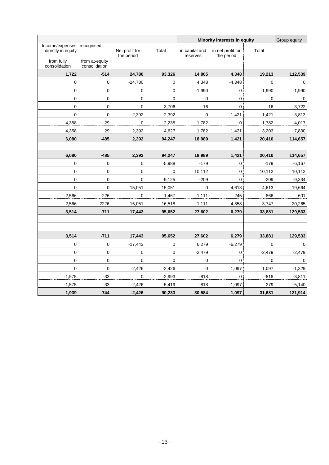|                                                  |                                 |                              |             | Minority interests in equity |                                 |          | Group equity        |
|--------------------------------------------------|---------------------------------|------------------------------|-------------|------------------------------|---------------------------------|----------|---------------------|
| Income/expenses recognised<br>directly in equity |                                 | Net profit for<br>the period | Total       | in capital and<br>reserves   | in net profit for<br>the period | Total    |                     |
| from fully<br>consolidation                      | from at-equity<br>consolidation |                              |             |                              |                                 |          |                     |
| 1,722                                            | $-514$                          | 24,780                       | 93,326      | 14,865                       | 4,348                           | 19,213   | 112,539             |
| 0                                                | 0                               | $-24,780$                    | 0           | 4,348                        | $-4,348$                        | 0        | $\mathsf{O}\xspace$ |
| 0                                                | 0                               | $\pmb{0}$                    | 0           | $-1,990$                     | 0                               | $-1,990$ | $-1,990$            |
| 0                                                | 0                               | 0                            | $\mathbf 0$ | 0                            | $\pmb{0}$                       | 0        | $\mathsf 0$         |
| $\pmb{0}$                                        | 0                               | $\mathbf 0$                  | $-3,706$    | $-16$                        | $\mathbf 0$                     | $-16$    | $-3,722$            |
| $\mathbf 0$                                      | 0                               | 2,392                        | 2,392       | $\mathbf 0$                  | 1,421                           | 1,421    | 3,813               |
| 4,358                                            | 29                              | 0                            | 2,235       | 1,782                        | 0                               | 1,782    | 4,017               |
| 4,358                                            | 29                              | 2,392                        | 4,627       | 1,782                        | 1,421                           | 3,203    | 7,830               |
| 6,080                                            | $-485$                          | 2,392                        | 94,247      | 18,989                       | 1,421                           | 20,410   | 114,657             |
|                                                  |                                 |                              |             |                              |                                 |          |                     |
| 6,080                                            | $-485$                          | 2,392                        | 94,247      | 18,989                       | 1,421                           | 20,410   | 114,657             |
| 0                                                | 0                               | 0                            | $-5,988$    | $-179$                       | 0                               | $-179$   | $-6,167$            |
| $\mathbf 0$                                      | 0                               | 0                            | 0           | 10,112                       | $\mathbf 0$                     | 10,112   | 10,112              |
| $\pmb{0}$                                        | 0                               | $\mathbf 0$                  | $-9,125$    | $-209$                       | $\mathbf 0$                     | $-209$   | $-9,334$            |
| $\mathbf 0$                                      | $\pmb{0}$                       | 15,051                       | 15,051      | 0                            | 4,613                           | 4,613    | 19,664              |
| $-2,566$                                         | $-226$                          | $\pmb{0}$                    | 1,467       | $-1,111$                     | 245                             | $-866$   | 601                 |
| $-2,566$                                         | $-2226$                         | 15,051                       | 16,518      | $-1,111$                     | 4,858                           | 3,747    | 20,265              |
| 3,514                                            | $-711$                          | 17,443                       | 95,652      | 27,602                       | 6,279                           | 33,881   | 129,533             |
|                                                  |                                 |                              |             |                              |                                 |          |                     |
|                                                  |                                 |                              |             |                              |                                 |          |                     |
| 3,514                                            | $-711$                          | 17,443                       | 95,652      | 27,602                       | 6,279                           | 33,881   | 129,533             |
| $\mathbf 0$                                      | 0                               | $-17,443$                    | 0           | 6,279                        | $-6,279$                        | 0        | $\mathbf 0$         |
| 0                                                | 0                               | $\pmb{0}$                    | 0           | $-2,479$                     | 0                               | $-2,479$ | $-2,479$            |
| $\Omega$                                         | $\mathbf 0$                     | $\Omega$                     | $\Omega$    | 0                            | $\mathbf 0$                     | 0        | $\mathsf 0$         |
| $\mathbf 0$                                      | 0                               | $-2,426$                     | $-2,426$    | $\mathbf 0$                  | 1,097                           | 1,097    | $-1,329$            |
| $-1,575$                                         | -33                             | 0                            | $-2,993$    | $-818$                       | 0                               | $-818$   | $-3,811$            |
| $-1,575$                                         | $-33$                           | $-2,426$                     | $-5,419$    | $-818$                       | 1,097                           | 279      | $-5,140$            |
| 1,939                                            | $-744$                          | $-2,426$                     | 90,233      | 30,584                       | 1,097                           | 31,681   | 121,914             |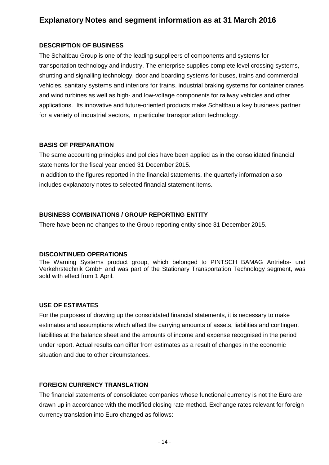## **Explanatory Notes and segment information as at 31 March 2016**

#### **DESCRIPTION OF BUSINESS**

The Schaltbau Group is one of the leading supplieers of components and systems for transportation technology and industry. The enterprise supplies complete level crossing systems, shunting and signalling technology, door and boarding systems for buses, trains and commercial vehicles, sanitary systems and interiors for trains, industrial braking systems for container cranes and wind turbines as well as high- and low-voltage components for railway vehicles and other applications. Its innovative and future-oriented products make Schaltbau a key business partner for a variety of industrial sectors, in particular transportation technology.

#### **BASIS OF PREPARATION**

The same accounting principles and policies have been applied as in the consolidated financial statements for the fiscal year ended 31 December 2015.

In addition to the figures reported in the financial statements, the quarterly information also includes explanatory notes to selected financial statement items.

### **BUSINESS COMBINATIONS / GROUP REPORTING ENTITY**

There have been no changes to the Group reporting entity since 31 December 2015.

#### **DISCONTINUED OPERATIONS**

The Warning Systems product group, which belonged to PINTSCH BAMAG Antriebs- und Verkehrstechnik GmbH and was part of the Stationary Transportation Technology segment, was sold with effect from 1 April.

#### **USE OF ESTIMATES**

For the purposes of drawing up the consolidated financial statements, it is necessary to make estimates and assumptions which affect the carrying amounts of assets, liabilities and contingent liabilities at the balance sheet and the amounts of income and expense recognised in the period under report. Actual results can differ from estimates as a result of changes in the economic situation and due to other circumstances.

#### **FOREIGN CURRENCY TRANSLATION**

The financial statements of consolidated companies whose functional currency is not the Euro are drawn up in accordance with the modified closing rate method. Exchange rates relevant for foreign currency translation into Euro changed as follows: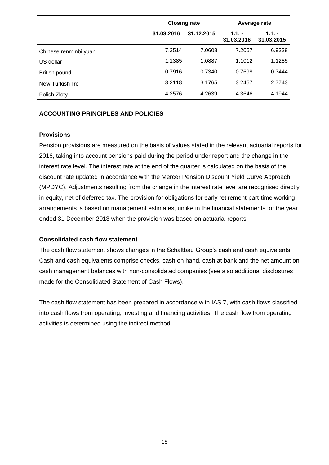|                       | <b>Closing rate</b> |            | Average rate          |                        |  |
|-----------------------|---------------------|------------|-----------------------|------------------------|--|
|                       | 31.03.2016          | 31.12.2015 | $1.1 -$<br>31.03.2016 | $1.1. -$<br>31.03.2015 |  |
| Chinese renminbi yuan | 7.3514              | 7.0608     | 7.2057                | 6.9339                 |  |
| US dollar             | 1.1385              | 1.0887     | 1.1012                | 1.1285                 |  |
| British pound         | 0.7916              | 0.7340     | 0.7698                | 0.7444                 |  |
| New Turkish lire      | 3.2118              | 3.1765     | 3.2457                | 2.7743                 |  |
| Polish Zloty          | 4.2576              | 4.2639     | 4.3646                | 4.1944                 |  |

#### **ACCOUNTING PRINCIPLES AND POLICIES**

#### **Provisions**

Pension provisions are measured on the basis of values stated in the relevant actuarial reports for 2016, taking into account pensions paid during the period under report and the change in the interest rate level. The interest rate at the end of the quarter is calculated on the basis of the discount rate updated in accordance with the Mercer Pension Discount Yield Curve Approach (MPDYC). Adjustments resulting from the change in the interest rate level are recognised directly in equity, net of deferred tax. The provision for obligations for early retirement part-time working arrangements is based on management estimates, unlike in the financial statements for the year ended 31 December 2013 when the provision was based on actuarial reports.

#### **Consolidated cash flow statement**

The cash flow statement shows changes in the Schaltbau Group's cash and cash equivalents. Cash and cash equivalents comprise checks, cash on hand, cash at bank and the net amount on cash management balances with non-consolidated companies (see also additional disclosures made for the Consolidated Statement of Cash Flows).

The cash flow statement has been prepared in accordance with IAS 7, with cash flows classified into cash flows from operating, investing and financing activities. The cash flow from operating activities is determined using the indirect method.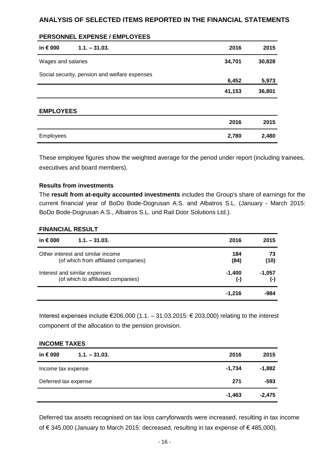#### **ANALYSIS OF SELECTED ITEMS REPORTED IN THE FINANCIAL STATEMENTS**

| in € 000           | $1.1 - 31.03.$                                | 2016   | 2015   |
|--------------------|-----------------------------------------------|--------|--------|
| Wages and salaries |                                               | 34,701 | 30,828 |
|                    | Social security, pension and welfare expenses | 6,452  | 5,973  |
|                    |                                               | 41,153 | 36,801 |
| <b>EMPLOYEES</b>   |                                               |        |        |
|                    |                                               | 2016   | 2015   |
| <b>Employees</b>   |                                               | 2,780  | 2,480  |

### These employee figures show the weighted average for the period under report (including trainees, executives and board members).

#### **Results from investments**

**PERSONNEL EXPENSE / EMPLOYEES**

The **result from at-equity accounted investments** includes the Group's share of earnings for the current financial year of BoDo Bode-Dogrusan A.S. and Albatros S.L. (January - March 2015: BoDo Bode-Dogrusan A.S., Albatros S.L. und Rail Door Solutions Ltd.).

#### **FINANCIAL RESULT**

| in $\epsilon$ 000<br>$1.1 - 31.03$ . | 2016      | 2015     |
|--------------------------------------|-----------|----------|
| Other interest and similar income    | 184       | 73       |
| (of which from affiliated companies) | (84)      | (10)     |
| Interest and similar expenses        | $-1,400$  | $-1,057$ |
| (of which to affiliated companies)   | $(\cdot)$ | $(-)$    |
|                                      | $-1.216$  | -984     |

Interest expenses include  $\epsilon$ 206,000 (1.1. – 31.03.2015:  $\epsilon$  203,000) relating to the interest component of the allocation to the pension provision.

| <b>INCOME TAXES</b>                  |          |          |  |  |  |  |
|--------------------------------------|----------|----------|--|--|--|--|
| in $\epsilon$ 000<br>$1.1 - 31.03$ . | 2016     | 2015     |  |  |  |  |
| Income tax expense                   | $-1,734$ | $-1,882$ |  |  |  |  |
| Deferred tax expense                 | 271      | -593     |  |  |  |  |
|                                      | $-1,463$ | $-2,475$ |  |  |  |  |

Deferred tax assets recognised on tax loss carryforwards were increased, resulting in tax income of € 345,000 (January to March 2015: decreased, resulting in tax expense of € 485,000).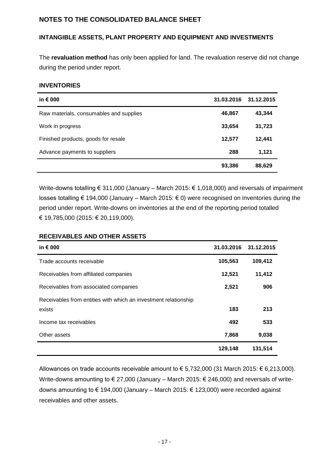#### **NOTES TO THE CONSOLIDATED BALANCE SHEET**

#### **INTANGIBLE ASSETS, PLANT PROPERTY AND EQUIPMENT AND INVESTMENTS**

The **revaluation method** has only been applied for land. The revaluation reserve did not change during the period under report.

#### **INVENTORIES**

| in $\epsilon$ 000                       | 31.03.2016 | 31.12.2015 |
|-----------------------------------------|------------|------------|
| Raw materials, consumables and supplies | 46,867     | 43,344     |
| Work in progress                        | 33,654     | 31,723     |
| Finished products, goods for resale     | 12,577     | 12,441     |
| Advance payments to suppliers           | 288        | 1,121      |
|                                         | 93,386     | 88,629     |

Write-downs totalling € 311,000 (January – March 2015: € 1,018,000) and reversals of impairment losses totalling € 194,000 (January – March 2015: € 0) were recognised on inventories during the period under report. Write-downs on inventories at the end of the reporting period totalled € 19,785,000 (2015: € 20,119,000).

#### **RECEIVABLES AND OTHER ASSETS**

| in $\epsilon$ 000                                                         | 31.03.2016 | 31.12.2015 |
|---------------------------------------------------------------------------|------------|------------|
| Trade accounts receivable                                                 | 105,563    | 109,412    |
| Receivables from affiliated companies                                     | 12,521     | 11,412     |
| Receivables from associated companies                                     | 2,521      | 906        |
| Receivables from entities with which an investment relationship<br>exists | 183        | 213        |
| Income tax receivables                                                    | 492        | 533        |
| Other assets                                                              | 7,868      | 9,038      |
|                                                                           | 129,148    | 131,514    |

Allowances on trade accounts receivable amount to  $\epsilon$  5,732,000 (31 March 2015:  $\epsilon$  6,213,000). Write-downs amounting to € 27,000 (January – March 2015: € 246,000) and reversals of writedowns amounting to € 194,000 (January – March 2015: € 123,000) were recorded against receivables and other assets.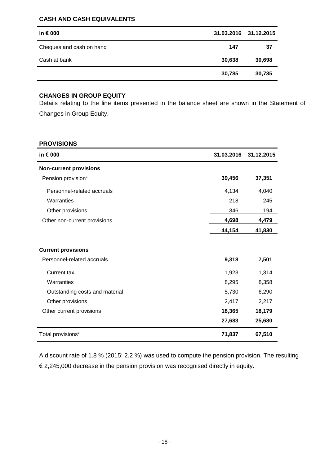#### **CASH AND CASH EQUIVALENTS**

| in $\epsilon$ 000        |        | 31.03.2016 31.12.2015 |
|--------------------------|--------|-----------------------|
| Cheques and cash on hand | 147    | 37                    |
| Cash at bank             | 30,638 | 30,698                |
|                          | 30,785 | 30,735                |

#### **CHANGES IN GROUP EQUITY**

Details relating to the line items presented in the balance sheet are shown in the Statement of Changes in Group Equity.

#### **PROVISIONS**

| in € 000                       | 31.03.2016 | 31.12.2015 |
|--------------------------------|------------|------------|
| <b>Non-current provisions</b>  |            |            |
| Pension provision*             | 39,456     | 37,351     |
| Personnel-related accruals     | 4,134      | 4,040      |
| Warranties                     | 218        | 245        |
| Other provisions               | 346        | 194        |
| Other non-current provisions   | 4,698      | 4,479      |
|                                | 44,154     | 41,830     |
| <b>Current provisions</b>      |            |            |
| Personnel-related accruals     | 9,318      | 7,501      |
| <b>Current tax</b>             | 1,923      | 1,314      |
| Warranties                     | 8,295      | 8,358      |
| Outstanding costs and material | 5,730      | 6,290      |
| Other provisions               | 2,417      | 2,217      |
| Other current provisions       | 18,365     | 18,179     |
|                                | 27,683     | 25,680     |
| Total provisions*              | 71,837     | 67,510     |

A discount rate of 1.8 % (2015: 2.2 %) was used to compute the pension provision. The resulting  $\epsilon$  2,245,000 decrease in the pension provision was recognised directly in equity.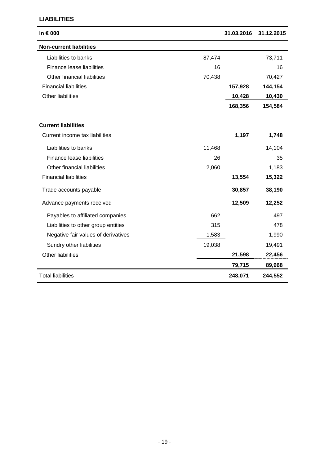#### **LIABILITIES**

| in € 000                            |        | 31.03.2016 | 31.12.2015 |
|-------------------------------------|--------|------------|------------|
| <b>Non-current liabilities</b>      |        |            |            |
| Liabilities to banks                | 87,474 |            | 73,711     |
| Finance lease liabilities           | 16     |            | 16         |
| Other financial liabilities         | 70,438 |            | 70,427     |
| <b>Financial liabilities</b>        |        | 157,928    | 144,154    |
| Other liabilities                   |        | 10,428     | 10,430     |
|                                     |        | 168,356    | 154,584    |
| <b>Current liabilities</b>          |        |            |            |
| Current income tax liabilities      |        | 1,197      | 1,748      |
| Liabilities to banks                | 11,468 |            | 14,104     |
| Finance lease liabilities           | 26     |            | 35         |
| Other financial liabilities         | 2,060  |            | 1,183      |
| <b>Financial liabilities</b>        |        | 13,554     | 15,322     |
| Trade accounts payable              |        | 30,857     | 38,190     |
| Advance payments received           |        | 12,509     | 12,252     |
| Payables to affiliated companies    | 662    |            | 497        |
| Liabilities to other group entities | 315    |            | 478        |
| Negative fair values of derivatives | 1,583  |            | 1,990      |
| Sundry other liabilities            | 19,038 |            | 19,491     |
| Other liabilities                   |        | 21,598     | 22,456     |
|                                     |        | 79,715     | 89,968     |
| <b>Total liabilities</b>            |        | 248,071    | 244,552    |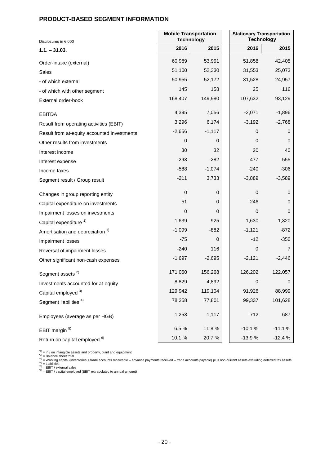#### **PRODUCT-BASED SEGMENT INFORMATION**

| Disclosures in € 000                        | <b>Mobile Transportation</b><br><b>Technology</b> |          | <b>Stationary Transportation</b><br><b>Technology</b> |          |  |  |
|---------------------------------------------|---------------------------------------------------|----------|-------------------------------------------------------|----------|--|--|
| $1.1. - 31.03.$                             | 2016                                              | 2015     | 2016                                                  | 2015     |  |  |
| Order-intake (external)                     | 60,989                                            | 53,991   | 51,858                                                | 42,405   |  |  |
| Sales                                       | 51,100                                            | 52,330   | 31,553                                                | 25,073   |  |  |
| - of which external                         | 50,955                                            | 52,172   | 31,528                                                | 24,957   |  |  |
| - of which with other segment               | 145                                               | 158      | 25                                                    | 116      |  |  |
| External order-book                         | 168,407                                           | 149,980  | 107,632                                               | 93,129   |  |  |
| <b>EBITDA</b>                               | 4,395                                             | 7,056    | $-2,071$                                              | $-1,896$ |  |  |
| Result from operating activities (EBIT)     | 3,296                                             | 6,174    | $-3,192$                                              | $-2,768$ |  |  |
| Result from at-equity accounted investments | $-2,656$                                          | $-1,117$ | 0                                                     | 0        |  |  |
| Other results from investments              | 0                                                 | 0        | 0                                                     | 0        |  |  |
| Interest income                             | 30                                                | 32       | 20                                                    | 40       |  |  |
| Interest expense                            | $-293$                                            | $-282$   | $-477$                                                | -555     |  |  |
| Income taxes                                | $-588$                                            | $-1,074$ | $-240$                                                | $-306$   |  |  |
| Segment result / Group result               | $-211$                                            | 3,733    | $-3,889$                                              | $-3,589$ |  |  |
| Changes in group reporting entity           | $\pmb{0}$                                         | 0        | 0                                                     | 0        |  |  |
| Capital expenditure on investments          | 51                                                | 0        | 246                                                   | 0        |  |  |
| Impairment losses on investments            | 0                                                 | 0        | 0                                                     | 0        |  |  |
| Capital expenditure <sup>1)</sup>           | 1,639                                             | 925      | 1,630                                                 | 1,320    |  |  |
| Amortisation and depreciation <sup>1)</sup> | $-1,099$                                          | $-882$   | $-1,121$                                              | $-872$   |  |  |
| Impairment losses                           | -75                                               | 0        | -12                                                   | $-350$   |  |  |
| Reversal of impairment losses               | $-240$                                            | 116      | 0                                                     | 7        |  |  |
| Other significant non-cash expenses         | $-1,697$                                          | $-2,695$ | $-2,121$                                              | $-2,446$ |  |  |
| Segment assets <sup>2)</sup>                | 171,060                                           | 156,268  | 126,202                                               | 122,057  |  |  |
| Investments accounted for at-equity         | 8,829                                             | 4,892    | $\boldsymbol{0}$                                      | 0        |  |  |
| Capital employed 3)                         | 129,942                                           | 119,104  | 91,926                                                | 88,999   |  |  |
| Segment liabilities <sup>4)</sup>           | 78,258                                            | 77,801   | 99,337                                                | 101,628  |  |  |
| Employees (average as per HGB)              | 1,253                                             | 1,117    | 712                                                   | 687      |  |  |
| EBIT margin <sup>5)</sup>                   | 6.5%                                              | 11.8%    | $-10.1%$                                              | $-11.1%$ |  |  |
| Return on capital employed <sup>6)</sup>    | 10.1%                                             | 20.7%    | $-13.9%$                                              | $-12.4%$ |  |  |

\*\*) = in / on intangible assets and property, plant and equipment<br>\*2) = Balance sheet total<br>\*3) = Working capital (inventories + trade accounts receivable – advance payments received – trade accounts payable) plus non-curr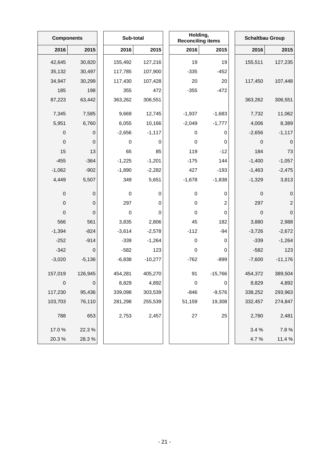| <b>Components</b> |             | Sub-total   |           | Holding,<br><b>Reconciling items</b> |           | <b>Schaltbau Group</b> |                  |
|-------------------|-------------|-------------|-----------|--------------------------------------|-----------|------------------------|------------------|
| 2016              | 2015        | 2016        | 2015      | 2016                                 | 2015      | 2016                   | 2015             |
| 42,645            | 30,820      | 155,492     | 127,216   | 19                                   | 19        | 155,511                | 127,235          |
| 35,132            | 30,497      | 117,785     | 107,900   | $-335$                               | $-452$    |                        |                  |
| 34,947            | 30,299      | 117,430     | 107,428   | 20                                   | 20        | 117,450                | 107,448          |
| 185               | 198         | 355         | 472       | $-355$                               | $-472$    |                        |                  |
| 87,223            | 63,442      | 363,262     | 306,551   |                                      |           | 363,262                | 306,551          |
| 7,345             | 7,585       | 9,669       | 12,745    | $-1,937$                             | $-1,683$  | 7,732                  | 11,062           |
| 5,951             | 6,760       | 6,055       | 10,166    | $-2,049$                             | $-1,777$  | 4,006                  | 8,389            |
| 0                 | 0           | $-2,656$    | $-1,117$  | 0                                    | 0         | $-2,656$               | $-1,117$         |
| $\mbox{O}$        | $\mathbf 0$ | $\mathbf 0$ | 0         | $\pmb{0}$                            | 0         | 0                      | $\mathbf 0$      |
| 15                | 13          | 65          | 85        | 119                                  | $-12$     | 184                    | 73               |
| $-455$            | $-364$      | $-1,225$    | $-1,201$  | $-175$                               | 144       | $-1,400$               | $-1,057$         |
| $-1,062$          | $-902$      | $-1,890$    | $-2,282$  | 427                                  | $-193$    | $-1,463$               | $-2,475$         |
| 4,449             | 5,507       | 349         | 5,651     | $-1,678$                             | $-1,838$  | $-1,329$               | 3,813            |
| 0                 | 0           | 0           | 0         | 0                                    | 0         | $\mathbf 0$            | $\mathbf 0$      |
| $\mathbf 0$       | 0           | 297         | 0         | 0                                    | 2         | 297                    | $\sqrt{2}$       |
| 0                 | 0           | $\pmb{0}$   | 0         | 0                                    | 0         | $\mathsf 0$            | $\boldsymbol{0}$ |
| 566               | 561         | 3,835       | 2,806     | 45                                   | 182       | 3,880                  | 2,988            |
| $-1,394$          | $-824$      | $-3,614$    | $-2,578$  | $-112$                               | $-94$     | $-3,726$               | $-2,672$         |
| $-252$            | $-914$      | $-339$      | $-1,264$  | $\pmb{0}$                            | 0         | $-339$                 | $-1,264$         |
| $-342$            | 0           | $-582$      | 123       | $\pmb{0}$                            | 0         | $-582$                 | 123              |
| $-3,020$          | $-5,136$    | $-6,838$    | $-10,277$ | $-762$                               | $-899$    | $-7,600$               | $-11,176$        |
| 157,019           | 126,945     | 454,281     | 405,270   | 91                                   | $-15,766$ | 454,372                | 389,504          |
| $\mbox{O}$        | 0           | 8,829       | 4,892     | $\pmb{0}$                            | 0         | 8,829                  | 4,892            |
| 117,230           | 95,436      | 339,098     | 303,539   | $-846$                               | $-9,576$  | 338,252                | 293,963          |
| 103,703           | 76,110      | 281,298     | 255,539   | 51,159                               | 19,308    | 332,457                | 274,847          |
| 788               | 653         | 2,753       | 2,457     | $27\,$                               | 25        | 2,780                  | 2,481            |
| 17.0%             | 22.3%       |             |           |                                      |           | 3.4 %                  | 7.8%             |
| 20.3%             | 28.3%       |             |           |                                      |           | 4.7%                   | 11.4 %           |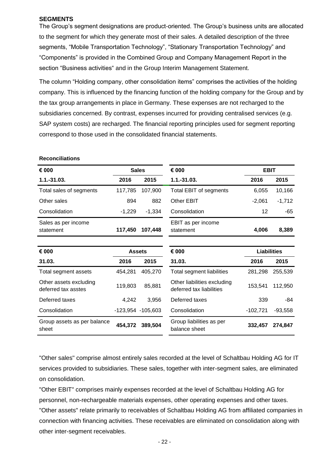#### **SEGMENTS**

The Group's segment designations are product-oriented. The Group's business units are allocated to the segment for which they generate most of their sales. A detailed description of the three segments, "Mobile Transportation Technology", "Stationary Transportation Technology" and "Components" is provided in the Combined Group and Company Management Report in the section "Business activities" and in the Group Interim Management Statement.

The column "Holding company, other consolidation items" comprises the activities of the holding company. This is influenced by the financing function of the holding company for the Group and by the tax group arrangements in place in Germany. These expenses are not recharged to the subsidiaries concerned. By contrast, expenses incurred for providing centralised services (e.g. SAP system costs) are recharged. The financial reporting principles used for segment reporting correspond to those used in the consolidated financial statements.

#### **Reconciliations**

| € 000                                         | <b>Sales</b>      |          | € 000                                                   |            | <b>EBIT</b>        |  |
|-----------------------------------------------|-------------------|----------|---------------------------------------------------------|------------|--------------------|--|
| $1.1.-31.03.$                                 | 2016              | 2015     | $1.1 - 31.03.$                                          | 2016       | 2015               |  |
| Total sales of segments                       | 117,785           | 107,900  | Total EBIT of segments                                  | 6,055      | 10,166             |  |
| Other sales                                   | 894               | 882      | Other EBIT                                              | $-2,061$   | $-1,712$           |  |
| Consolidation                                 | $-1,229$          | $-1,334$ | Consolidation                                           | 12         | -65                |  |
| Sales as per income<br>statement              | 117,450           | 107,448  | EBIT as per income<br>statement                         | 4,006      | 8,389              |  |
|                                               |                   |          |                                                         |            |                    |  |
| € 000                                         | <b>Assets</b>     |          | € 000                                                   |            | <b>Liabilities</b> |  |
| 31.03.                                        | 2016              | 2015     | 31.03.                                                  | 2016       | 2015               |  |
| Total segment assets                          | 454,281           | 405,270  | Total segment liabilities                               | 281,298    | 255,539            |  |
| Other assets excluding<br>deferred tax asstes | 119,803           | 85,881   | Other liabilities excluding<br>deferred tax liabilities | 153,541    | 112,950            |  |
| Deferred taxes                                | 4,242             | 3,956    | Deferred taxes                                          | 339        | $-84$              |  |
| Consolidation                                 | -123,954 -105,603 |          | Consolidation                                           | $-102,721$ | $-93,558$          |  |
| Group assets as per balance<br>sheet          | 454,372           | 389,504  | Group liabilities as per<br>balance sheet               | 332,457    | 274,847            |  |

"Other sales" comprise almost entirely sales recorded at the level of Schaltbau Holding AG for IT services provided to subsidiaries. These sales, together with inter-segment sales, are eliminated on consolidation.

"Other EBIT" comprises mainly expenses recorded at the level of Schaltbau Holding AG for personnel, non-rechargeable materials expenses, other operating expenses and other taxes. "Other assets" relate primarily to receivables of Schaltbau Holding AG from affiliated companies in connection with financing activities. These receivables are eliminated on consolidation along with other inter-segment receivables.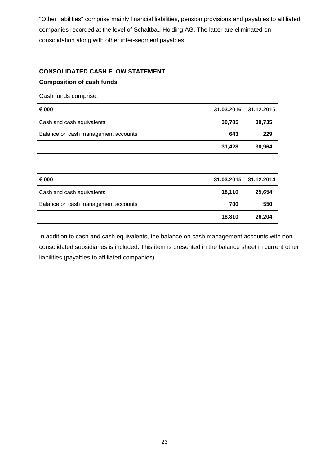"Other liabilities" comprise mainly financial liabilities, pension provisions and payables to affiliated companies recorded at the level of Schaltbau Holding AG. The latter are eliminated on consolidation along with other inter-segment payables.

### **CONSOLIDATED CASH FLOW STATEMENT Composition of cash funds**

Cash funds comprise:

| € 000                               | 31.03.2016 | 31.12.2015 |
|-------------------------------------|------------|------------|
| Cash and cash equivalents           | 30,785     | 30,735     |
| Balance on cash management accounts | 643        | 229        |
|                                     | 31,428     | 30,964     |
|                                     |            |            |
| € 000                               | 31.03.2015 | 31.12.2014 |
| Cash and cash equivalents           | 18,110     | 25,654     |
| Balance on cash management accounts | 700        | 550        |
|                                     | 18,810     | 26,204     |

In addition to cash and cash equivalents, the balance on cash management accounts with nonconsolidated subsidiaries is included. This item is presented in the balance sheet in current other liabilities (payables to affiliated companies).